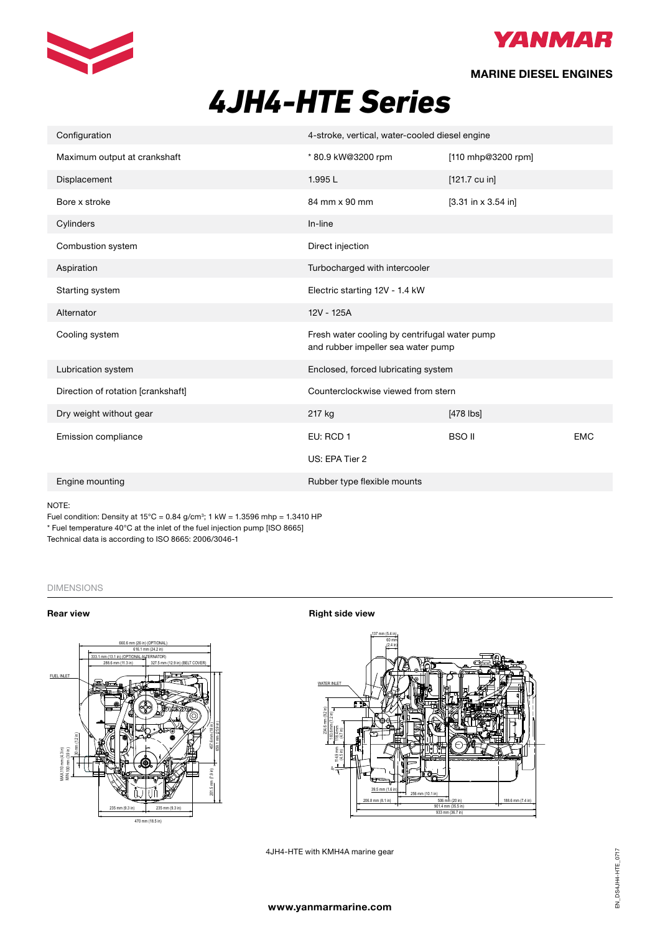



## **MARINE DIESEL ENGINES**

# **4JH4-HTE** Series *4JH4-HTE Series*

| Configuration                      | 4-stroke, vertical, water-cooled diesel engine                                      |                           |            |  |  |  |
|------------------------------------|-------------------------------------------------------------------------------------|---------------------------|------------|--|--|--|
| Maximum output at crankshaft       | * 80.9 kW@3200 rpm                                                                  | [110 mhp@3200 rpm]        |            |  |  |  |
| Displacement                       | 1.995L                                                                              | $[121.7 \, \text{cu in}]$ |            |  |  |  |
| Bore x stroke                      | 84 mm x 90 mm                                                                       | $[3.31$ in x 3.54 in]     |            |  |  |  |
| Cylinders                          | In-line                                                                             |                           |            |  |  |  |
| Combustion system                  | Direct injection                                                                    |                           |            |  |  |  |
| Aspiration                         | Turbocharged with intercooler                                                       |                           |            |  |  |  |
| Starting system                    | Electric starting 12V - 1.4 kW                                                      |                           |            |  |  |  |
| Alternator                         | 12V - 125A                                                                          |                           |            |  |  |  |
| Cooling system                     | Fresh water cooling by centrifugal water pump<br>and rubber impeller sea water pump |                           |            |  |  |  |
| Lubrication system                 | Enclosed, forced lubricating system                                                 |                           |            |  |  |  |
| Direction of rotation [crankshaft] | Counterclockwise viewed from stern                                                  |                           |            |  |  |  |
| Dry weight without gear            | 217 kg                                                                              | $[478$ lbs]               |            |  |  |  |
| Emission compliance                | EU: RCD 1                                                                           | <b>BSO II</b>             | <b>EMC</b> |  |  |  |
|                                    | US: EPA Tier 2                                                                      |                           |            |  |  |  |
| Engine mounting                    | Rubber type flexible mounts                                                         |                           |            |  |  |  |
| NOTF                               |                                                                                     |                           |            |  |  |  |

NOTE:

Fuel condition: Density at  $15^{\circ}$ C = 0.84 g/cm<sup>3</sup>; 1 kW = 1.3596 mhp = 1.3410 HP the condition: Density at 15°C = 0.84 g/cm 3; 1kW = 1.3596 mhp = 1.3410<br>Note that the inlet of the fuel injection pump [ISO 8665] Technical data is according to ISO 8665: 2006/3046-1 Technical data is according to ISO 8665 / 3046 Fuel temperature 40 $\sigma$  at the linet of the fuel injection pu

#### DIMENSIONS (For detailed line-drawings, please refer to our web-site: www.yanmarmarine.com or contact your supplier)



**Rear view <b>Right** side view **Right** side view



4JH4-HTE with KMH4A marine gear